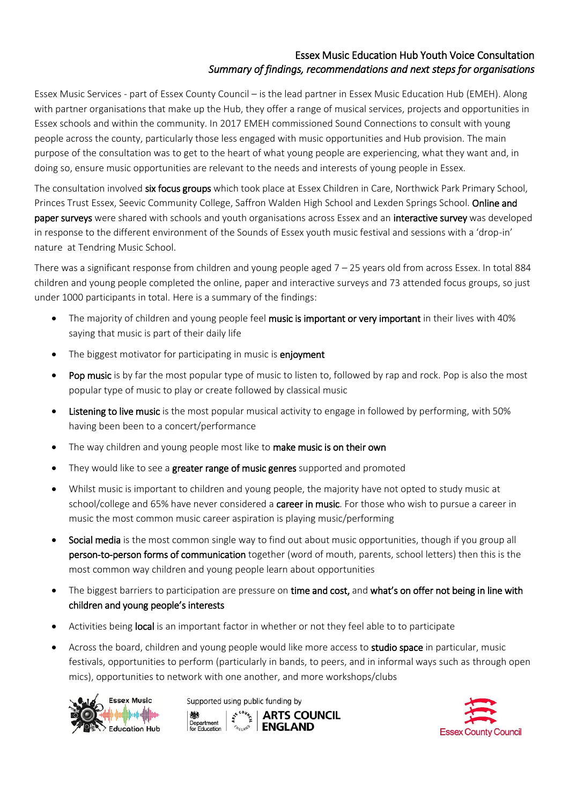## Essex Music Education Hub Youth Voice Consultation *Summary of findings, recommendations and next steps for organisations*

Essex Music Services - part of Essex County Council – is the lead partner in Essex Music Education Hub (EMEH). Along with partner organisations that make up the Hub, they offer a range of musical services, projects and opportunities in Essex schools and within the community. In 2017 EMEH commissioned Sound Connections to consult with young people across the county, particularly those less engaged with music opportunities and Hub provision. The main purpose of the consultation was to get to the heart of what young people are experiencing, what they want and, in doing so, ensure music opportunities are relevant to the needs and interests of young people in Essex.

The consultation involved six focus groups which took place at Essex Children in Care, Northwick Park Primary School, Princes Trust Essex, Seevic Community College, Saffron Walden High School and Lexden Springs School. Online and paper surveys were shared with schools and youth organisations across Essex and an interactive survey was developed in response to the different environment of the Sounds of Essex youth music festival and sessions with a 'drop-in' nature at Tendring Music School.

There was a significant response from children and young people aged  $7 - 25$  years old from across Essex. In total 884 children and young people completed the online, paper and interactive surveys and 73 attended focus groups, so just under 1000 participants in total. Here is a summary of the findings:

- The majority of children and young people feel music is important or very important in their lives with 40% saying that music is part of their daily life
- The biggest motivator for participating in music is enjoyment
- Pop music is by far the most popular type of music to listen to, followed by rap and rock. Pop is also the most popular type of music to play or create followed by classical music
- Listening to live music is the most popular musical activity to engage in followed by performing, with 50% having been been to a concert/performance
- The way children and young people most like to make music is on their own
- They would like to see a greater range of music genres supported and promoted
- Whilst music is important to children and young people, the majority have not opted to study music at school/college and 65% have never considered a career in music. For those who wish to pursue a career in music the most common music career aspiration is playing music/performing
- Social media is the most common single way to find out about music opportunities, though if you group all person-to-person forms of communication together (word of mouth, parents, school letters) then this is the most common way children and young people learn about opportunities
- The biggest barriers to participation are pressure on time and cost, and what's on offer not being in line with children and young people's interests
- Activities being local is an important factor in whether or not they feel able to to participate
- Across the board, children and young people would like more access to studio space in particular, music festivals, opportunities to perform (particularly in bands, to peers, and in informal ways such as through open mics), opportunities to network with one another, and more workshops/clubs



Supported using public funding by